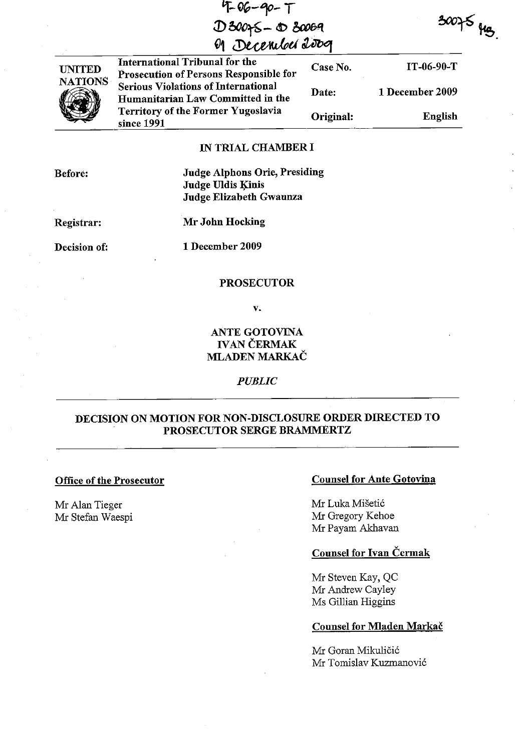| $4 - 96 - 90 - 7$ |
|-------------------|
| $D300 - 030069$   |
| M December 2009   |

| International Tribunal for the<br><b>Prosecution of Persons Responsible for</b> | Case No.  | $IT-06-90-T$    |
|---------------------------------------------------------------------------------|-----------|-----------------|
| <b>Serious Violations of International</b><br>Humanitarian Law Committed in the | Date:     | 1 December 2009 |
| Territory of the Former Yugoslavia<br>since 1991                                | Original: | English         |

 $30075$  yes.

### IN TRIAL CHAMBER I

Before:

UNITED NATIONS

(E)

Judge Alphons Orie, Presiding Judge Uldis Kinis Judge Elizabeth Gwaunza

# Registrar:

Mr John Hocking

Decision of:

1 December 2009

### PROSECUTOR

v.

# ANTE GOTOVINA IVAN ČERMAK **MLADEN MARKAČ**

### *PUBLIC*

# DECISION ON MOTION FOR NON-DISCLOSURE ORDER DIRECTED TO PROSECUTOR SERGE BRAMMERTZ

#### Office of the Prosecutor

Mr Alan Tieger Mr Stefan Waespi

### Counsel for Ante Gotovina

Mr Luka Mišetić Mr Gregory Kehoe Mr Payam Akhavan

# Counsel for Ivan Cermak

Mr Steven Kay, QC Mr Andrew Cayley Ms Gillian Higgins

#### Counsel for MIaden Markac

Mr Goran Mikuličić Mr Tomislav Kuzmanović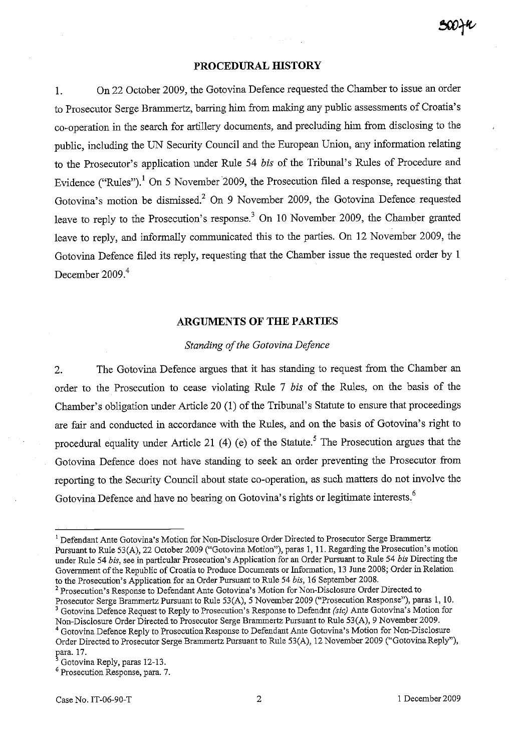#### **PROCEDURAL HISTORY**

1. On 22 October 2009, the Gotovina Defence requested the Chamber to issue an order to Prosecutor Serge Brammertz, barring him from making any public assessments of Croatia's co-operation in the search for artillery documents, and precluding him from disclosing to the public, including the UN Security Council and the European Union, any information relating to the Prosecutor's application under Rule 54 *bis* of the Tribunal's Rules of Procedure and Evidence ("Rules").<sup>1</sup> On 5 November 2009, the Prosecution filed a response, requesting that Gotovina's motion be dismissed? On 9 November 2009, the Gotovina Defence requested leave to reply to the Prosecution's response? On 10 November 2009, the Chamber granted leave to reply, and informally communicated this to the parties. On 12 November 2009, the Gotovina Defence filed its reply, requesting that the Chamber issue the requested order by 1 December 2009.<sup>4</sup>

#### **ARGUMENTS OF THE PARTIES**

#### *Standing of the Gotovina Defence*

2. The Gotovina Defence argues that it has standing to request from the Chamber an order to the Prosecution to cease violating Rule 7 *bis* of the Rules, on the basis of the Chamber's obligation under Article 20  $(1)$  of the Tribunal's Statute to ensure that proceedings are fair and conducted in accordance with the Rules, and on the basis of Gotovina's right to procedural equality under Article 21 (4) (e) of the Statute.<sup>5</sup> The Prosecution argues that the Gotovina Defence does not have standing to seek an order preventing the Prosecutor from reporting to the Security Council about state co-operation, as such matters do not involve the Gotovina Defence and have no bearing on Gotovina's rights or legitimate interests.<sup>6</sup>

2 Prosecution's Response to Defendant Ante Gotovina's Motion for Non-Disclosure Order Directed to Prosecutor Serge Brammertz Pursuant to Rule 53(A), 5 November 2009 ("Prosecution Response"), paras 1, 10. 3 Gotovina Defence Request to Reply to Prosecution's Response to Defendnt *(sic)* Ante Gotovina's Motion for

<sup>&</sup>lt;sup>1</sup> Defendant Ante Gotovina's Motion for Non-Disclosure Order Directed to Prosecutor Serge Brammertz Pursuant to Rule 53(A), 22 October 2009 ("Gotovina Motion"), paras 1, 11. Regarding the Prosecution's motion under Rule 54 *bis,* see in particular Prosecution's Application for an Order Pursuant to Rule 54 *bis* Directing the Government of the Republic of Croatia to Produce Documents or Information, 13 June 2008; Order in Relation to the Prosecution'S Application for an Order Pursuant to Rule 54 *bis,* 16 September 2008.

Non-Disclosure Order Directed to Prosecutor Serge Brammertz Pursuant to Rule 53(A), 9 November 2009. 4 Gotovina Defence Reply to Prosecution Response to Defendant Ante Gotovina's Motion for Non-Disclosure

Order Directed to Prosecutor Serge Brammertz Pursuant to Rule 53(A), 12 November 2009 ("Gotovina Reply"), para. 17.

<sup>&#</sup>x27;Gotovina Reply, paras 12-13.

<sup>6</sup>**Prosecution Response, para. 7.**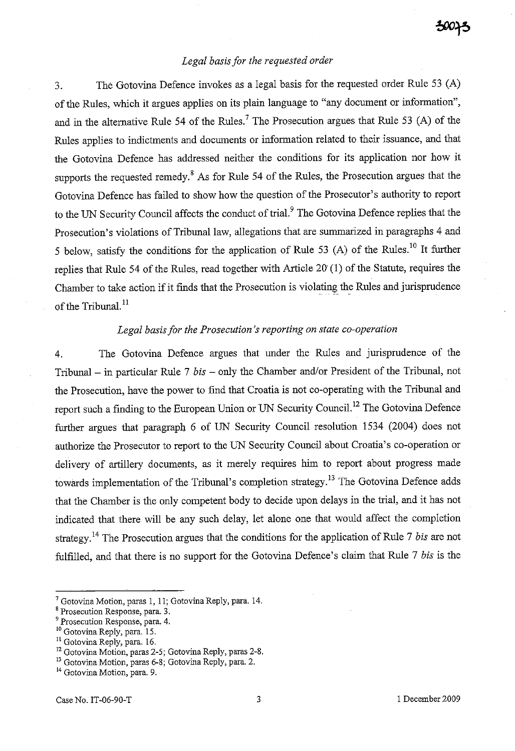# *Legal basis for the requested order*

3. The Gotovina Defence invokes as a legal basis for the requested order Rule 53 (A) of the Rules, which it argues applies on its plain language to "any document or information", and in the alternative Rule 54 of the Rules.<sup>7</sup> The Prosecution argues that Rule 53 (A) of the Rules applies to indictments and documents or information related to their issuance, and that the Gotovina Defence has addressed neither the conditions for its application nor how it supports the requested remedy.<sup>8</sup> As for Rule 54 of the Rules, the Prosecution argues that the Gotovina Defence has failed to show how the question of the Prosecutor's authority to report to the UN Security Council affects the conduct of trial.<sup>9</sup> The Gotovina Defence replies that the Prosecution's violations of Tribunal law, allegations that are summarized in paragraphs 4 and 5 below, satisfy the conditions for the application of Rule 53 (A) of the Rules.<sup>10</sup> It further replies that Rule 54 of the Rules, read together with Article 20' (1) of the Statute, requires the Chamber to take action if it fmds that the Prosecution is violating the Rules and jurisprudence of the Tribunal.<sup>11</sup>

## *Legal basis for the Prosecution's reporting on state co-operation*

4. The Gotovina Defence argues that under the Rules and jurisprudence of the Tribunal - in particular Rule 7 *bis* - only the Chamber and/or President of the Tribunal, not the Prosecution, have the power to find that Croatia is not co-operating with the Tribunal and report such a finding to the European Union or UN Security Council.<sup>12</sup> The Gotovina Defence further argues that paragraph 6 of UN Security Council resolution 1534 (2004) does not authorize the Prosecutor to report to the UN Security Council about Croatia's co-operation or delivery of artillery documents, as it merely requires him to report about progress made towards implementation of the Tribunal's completion strategy.<sup>13</sup> The Gotovina Defence adds that the Chamber is the only competent body to decide upon delays in the trial, and it has not indicated that there will be any such delay, let alone one that would affect the completion strategy.14 The Prosecution argues that the conditions for the application of Rule 7 *bis* are not fulfilled, and that there is no support for the Gotovina Defence's claim that Rule 7 *bis* is the

<sup>7</sup> Gotovina Motion, paras 1, 11; Gotovina Reply, para. 14.

**<sup>8</sup> Prosecution Response, para. 3.** 

<sup>9</sup> Prosecution Response, para. 4.

<sup>10</sup> Gotovina Reply, para. 15.

<sup>&</sup>lt;sup>11</sup> Gotovina Reply, para. 16.

<sup>&</sup>lt;sup>12</sup> Gotovina Motion, paras 2-5; Gotovina Reply, paras 2-8.

<sup>13</sup> Gotovina Motion, paras 6-8; Gotovina Reply, para. 2.

**<sup>14</sup> Gotovina Motion, para. 9.**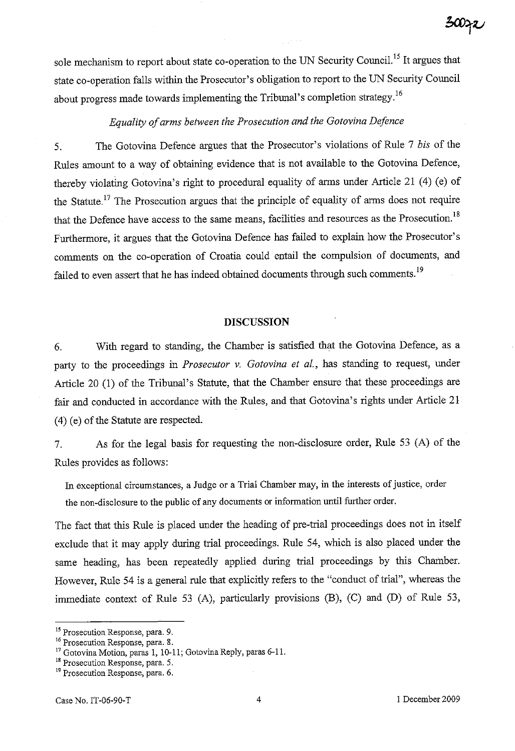sole mechanism to report about state co-operation to the UN Security Council.<sup>15</sup> It argues that state co-operation falls within the Prosecutor's obligation to report to the UN Security Council about progress made towards implementing the Tribunal's completion strategy.<sup>16</sup>

# *Equality of arms between the Prosecution and the Gotovina Defence*

5. The Gotovina Defence argnes that the Prosecutor's violations of Rule 7 *bis* of the Rules amount to a way of obtaining evidence that is not available to the Gotovina Defence, thereby violating Gotovina's right to procedural equality of arms under Article 21 (4) (e) of the Statute.<sup>17</sup> The Prosecution argues that the principle of equality of arms does not require that the Defence have access to the same means, facilities and resources as the Prosecution.<sup>18</sup> Furthermore, it argues that the Gotovina Defence has failed to explain how the Prosecutor's comments on the co-operation of Croatia could entail the compulsion of documents, and failed to even assert that he has indeed obtained documents through such comments.<sup>19</sup>

### **DISCUSSION**

6. With regard to standing, the Chamber is satisfied that the Gotovina Defence, as a party to the proceedings in *Prosecutor* v. *Gotovina et al.,* has standing to request, under Article 20 (1) of the Tribunal's Statute, that the Chamber ensure that these proceedings are fair and conducted in accordance with the Rules, and that Gotovina's rights under Article 21 (4) (e) of the Statute are respected.

7. As for the legal basis for requesting the non-disclosure order, Rule 53 (A) of the Rules provides as follows:

In exceptional circumstances, a Judge or a Trial Chamber may, in the interests of justice, order the non-disclosure to the public of any documents or information until further order.

The fact that this Rule is placed under the heading of pre-trial proceedings does not in itself exclude that it may apply during trial proceedings. Rule 54, which is also placed under the same heading, has been repeatedly applied during trial proceedings by this Chamber. However, Rule 54 is a general rule that explicitly refers to the "conduct of trial", whereas the immediate context of Rule 53 (A), particularly provisions (B), (C) and (D) of Rule 53,

**<sup>15</sup>Prosecution Response, para. 9.** 

**<sup>16</sup> Prosecution Response, para. 8.** 

<sup>&</sup>lt;sup>17</sup> Gotovina Motion, paras 1, 10-11; Gotovina Reply, paras 6-11.

**<sup>18</sup> Prosecution Response, para. 5.** 

**<sup>19</sup>Prosecution Response, para. 6.**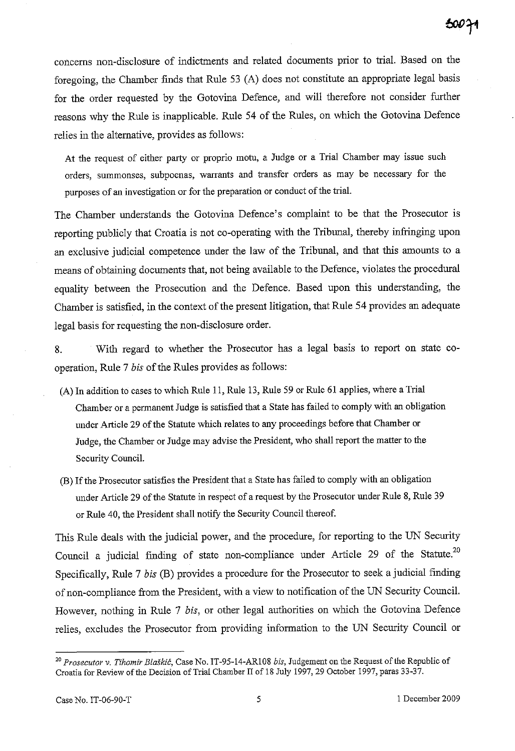concerns non-disclosure of indictments and related documents prior to trial. Based on the foregoing, the Chamber fmds that Rule 53 (A) does not constitute an appropriate legal basis for the order requested by the Gotovina Defence, and will therefore not consider further reasons why the Rule is inapplicable. Rule 54 of the Rules, on which the Gotovina Defence relies in the alternative, provides as follows:

At the request of either party or proprio motu, a Judge or a Trial Chamber may issue such orders, summonses, subpoenas, warrants and transfer orders as may be necessary for the purposes of an investigation or for the preparation or conduct of the trial.

The Chamber understands the Gotovina Defence's complaint to be that the Prosecutor is reporting publicly that Croatia is not co-operating with the Tribunal, thereby infringing upon an exclusive judicial competence under the law of the Tribunal, and that this amounts to a means of obtaining documents that, not being available to the Defence, violates the procedural equality between the Prosecution and the Defence. Based upon this understanding, the Chamber is satisfied, in the context of the present litigation, that Rule 54 provides an adequate legal basis for requesting the non-disclosure order.

8. With regard to whether the Prosecutor has a legal basis to report on state cooperation, Rule 7 *his* of the Rules provides as follows:

- CA) In addition to cases to which Rule **11,** Rule 13, Rule 59 or Rule 61 applies, where a Trial Chamber or a permanent Judge is satisfied that a State has failed to comply with an obligation under Article 29 of the Statute which relates to any proceedings before that Chamber or Judge, the Chamber or Judge may advise the President, who shall report the matter to the Security Council.
- (B) If the Prosecutor satisfies the President that a State has failed to comply with an obligation under Article 29 of the Statute in respect of a request by the Prosecutor under Rule 8, Rule 39 or Rule 40, the President shall notify the Security Council thereof.

This Rule deals with the judicial power, and the procedure, for reporting to the UN Security Council a judicial finding of state non-compliance under Article 29 of the Statute.<sup>20</sup> Specifically, Rule 7 *his* (B) provides a procedure for the Prosecutor to seek a judicial finding of non-compliance from the President, with a view to notification of the UN Security Council. However, nothing in Rule 7 *his,* or other legal authorities on which the Gotovina Defence relies, excludes the Prosecutor from providing information to the UN Security Council or

*<sup>20</sup> Prosecutor* v. *Tihomir Blaskic,* Case No. IT-95-14-ARI08 *bis,* Judgement on the Request of the Republic of Croatia for Review of the Decision of Trial Chamber II of 18 Jnly 1997, 29 October 1997, paras 33-37.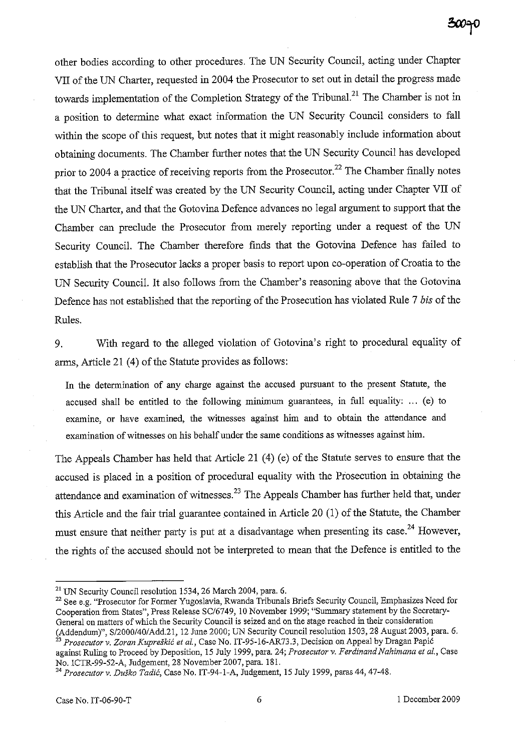other bodies according to other procedures. The UN Security Council, acting under Chapter VII of the UN Charter, requested in 2004 the Prosecutor to set out in detail the progress made towards implementation of the Completion Strategy of the Tribunal.<sup>21</sup> The Chamber is not in a position to determine what exact information the UN Security Council considers to fall within the scope of this request, but notes that it might reasonably include information about obtaining documents. The Chamber further notes that the UN Security Council has developed prior to 2004 a practice of receiving reports from the Prosecutor.<sup>22</sup> The Chamber finally notes that the Tribunal itself was created by the UN Security Council, acting under Chapter VII of the UN Charter, and that the Gotovina Defence advances no legal argument to support that the Chamber can preclude the Prosecutor from merely reporting under a request of the UN Security Council. The Chamber therefore fmds that the Gotovina Defence has failed to establish that the Prosecutor lacks a proper basis to report upon co-operation of Croatia to the UN Security Council. It also follows from the Chamber's reasoning above that the Gotovina Defence has not established that the reporting of the Prosecution has violated Rule 7 *bis* of the Rules.

9. With regard to the alleged violation of Gotovina's right to procedural equality of arms, Article 21 (4) of the Statute provides as follows:

In the determination of any charge against the accused pursuant to the present Statute, the accused shall be entitled to the following minimum guarantees, in full equality:  $\ldots$  (e) to examine, or have examined, the witnesses against him and to obtain the attendance and examination of witnesses on his behalf under the same conditions as witnesses against him.

The Appeals Chamber has held that Article 21 (4) (e) of the Statute serves to ensure that the accused is placed in a position of procedural equality with the Prosecution in obtaining the attendance and examination of witnesses.<sup>23</sup> The Appeals Chamber has further held that, under this Article and the fair trial guarantee contained in Article 20 (1) of the Statute, the Chamber must ensure that neither party is put at a disadvantage when presenting its case.<sup>24</sup> However, the rights of the accused should not be interpreted to mean that the Defence is entitled to the

<sup>&</sup>lt;sup>21</sup> UN Security Council resolution 1534, 26 March 2004, para. 6.

<sup>&</sup>lt;sup>22</sup> See e.g. "Prosecutor for Former Yugoslavia, Rwanda Tribunals Briefs Security Council, Emphasizes Need for Cooperation from States", Press Release *SC16749,* 10 November 1999; "Surmnary statement by the Secretary-General on matters of which the Security Council is seized and on the stage reached in their consideration (Addendum)", *S/2000/40/Add.21,* 12 June 2000; UN Security Council resolution 1503, 28 August 2003, para. 6.

<sup>23</sup>*Prosecutor v. Zoran Kupreskic et al.,* Case No. IT -95-16-AR73 .3, Decision on Appeal by Dragan Papic against Ruling to Proceed by Deposition, 15 July 1999, para. 24; Prosecutor v. Ferdinand Nahimana et al., Case No. ICTR-99-52-A, Judgement, 28 November 2007, para. 181.

<sup>24</sup>*Prosecutor v. Dusko Tadic,* Case No. IT-94-I-A, Judgement, 15 July 1999, paras 44, 47-48.